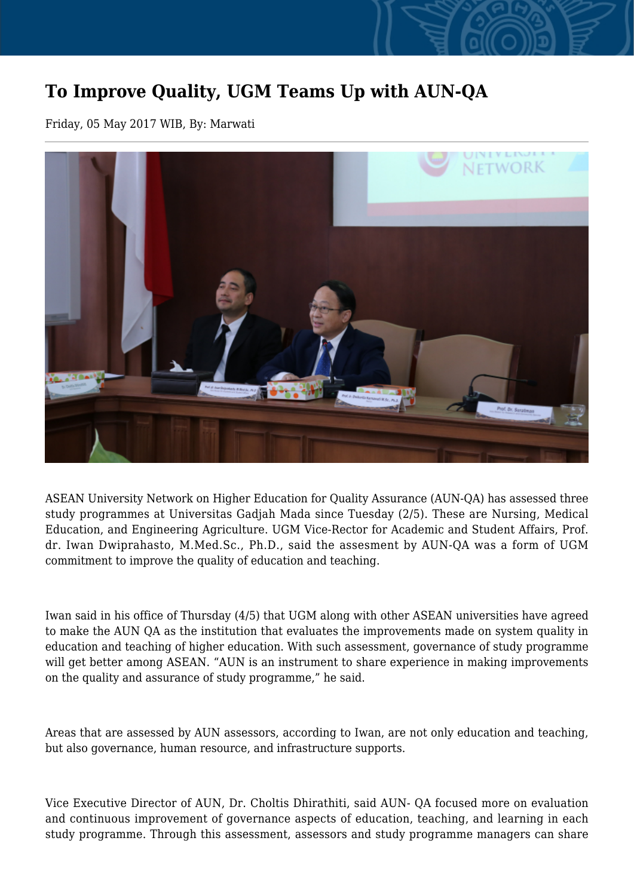## **To Improve Quality, UGM Teams Up with AUN-QA**

Friday, 05 May 2017 WIB, By: Marwati



ASEAN University Network on Higher Education for Quality Assurance (AUN-QA) has assessed three study programmes at Universitas Gadjah Mada since Tuesday (2/5). These are Nursing, Medical Education, and Engineering Agriculture. UGM Vice-Rector for Academic and Student Affairs, Prof. dr. Iwan Dwiprahasto, M.Med.Sc., Ph.D., said the assesment by AUN-QA was a form of UGM commitment to improve the quality of education and teaching.

Iwan said in his office of Thursday (4/5) that UGM along with other ASEAN universities have agreed to make the AUN QA as the institution that evaluates the improvements made on system quality in education and teaching of higher education. With such assessment, governance of study programme will get better among ASEAN. "AUN is an instrument to share experience in making improvements on the quality and assurance of study programme," he said.

Areas that are assessed by AUN assessors, according to Iwan, are not only education and teaching, but also governance, human resource, and infrastructure supports.

Vice Executive Director of AUN, Dr. Choltis Dhirathiti, said AUN- QA focused more on evaluation and continuous improvement of governance aspects of education, teaching, and learning in each study programme. Through this assessment, assessors and study programme managers can share